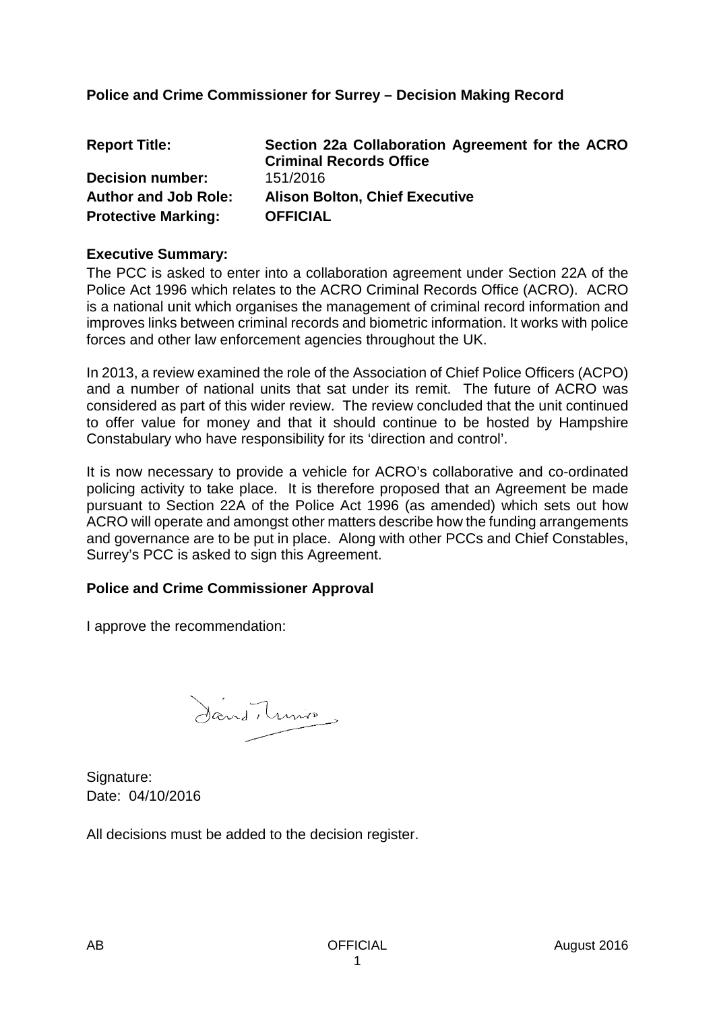## **Police and Crime Commissioner for Surrey – Decision Making Record**

| <b>Report Title:</b>        | Section 22a Collaboration Agreement for the ACRO<br><b>Criminal Records Office</b> |
|-----------------------------|------------------------------------------------------------------------------------|
| <b>Decision number:</b>     | 151/2016                                                                           |
| <b>Author and Job Role:</b> | <b>Alison Bolton, Chief Executive</b>                                              |
| <b>Protective Marking:</b>  | <b>OFFICIAL</b>                                                                    |

#### **Executive Summary:**

The PCC is asked to enter into a collaboration agreement under Section 22A of the Police Act 1996 which relates to the ACRO Criminal Records Office (ACRO). ACRO is a national unit which organises the management of criminal record information and improves links between criminal records and biometric information. It works with police forces and other law enforcement agencies throughout the UK.

In 2013, a review examined the role of the Association of Chief Police Officers (ACPO) and a number of national units that sat under its remit. The future of ACRO was considered as part of this wider review. The review concluded that the unit continued to offer value for money and that it should continue to be hosted by Hampshire Constabulary who have responsibility for its 'direction and control'.

It is now necessary to provide a vehicle for ACRO's collaborative and co-ordinated policing activity to take place. It is therefore proposed that an Agreement be made pursuant to Section 22A of the Police Act 1996 (as amended) which sets out how ACRO will operate and amongst other matters describe how the funding arrangements and governance are to be put in place. Along with other PCCs and Chief Constables, Surrey's PCC is asked to sign this Agreement.

### **Police and Crime Commissioner Approval**

I approve the recommendation:

Sand, tunio

Signature: Date: 04/10/2016

All decisions must be added to the decision register.